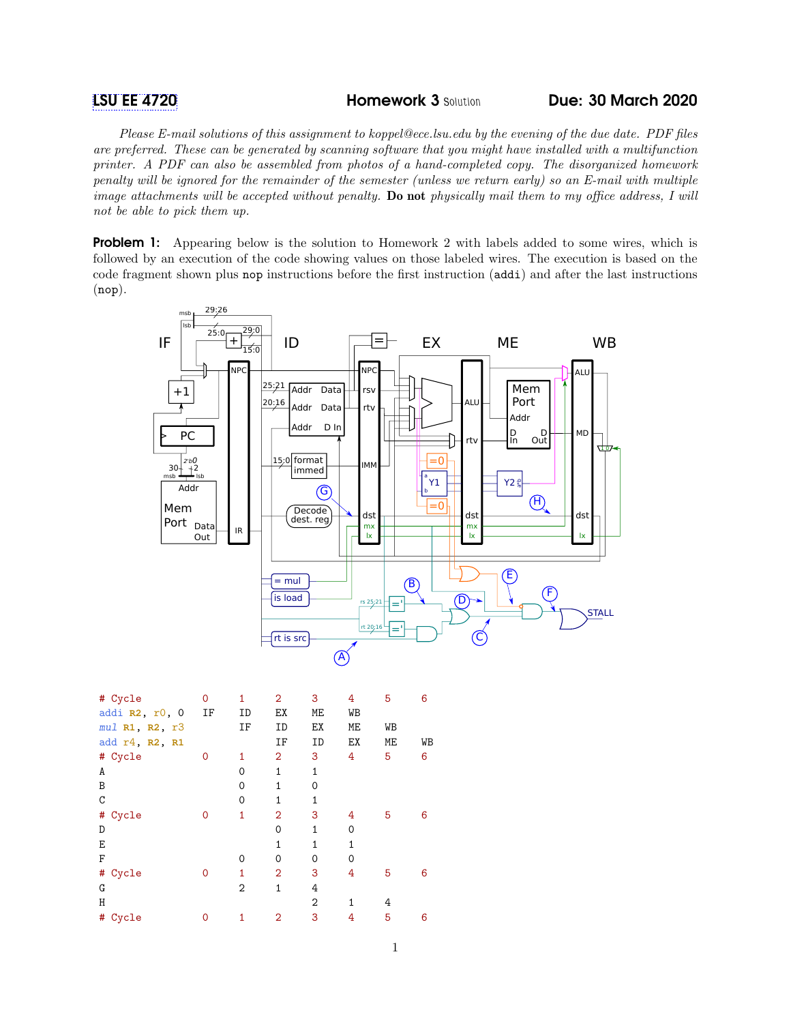Please E-mail solutions of this assignment to koppel@ece.lsu.edu by the evening of the due date. PDF files are preferred. These can be generated by scanning software that you might have installed with a multifunction printer. A PDF can also be assembled from photos of a hand-completed copy. The disorganized homework penalty will be ignored for the remainder of the semester (unless we return early) so an E-mail with multiple image attachments will be accepted without penalty. Do not physically mail them to my office address, I will not be able to pick them up.

**Problem 1:** Appearing below is the solution to Homework 2 with labels added to some wires, which is followed by an execution of the code showing values on those labeled wires. The execution is based on the code fragment shown plus nop instructions before the first instruction (addi) and after the last instructions (nop).



|   | # Cycle<br>addi R2, r0, 0<br>mul R1, R2, r3 | 0<br>ΙF | 1<br>ID<br>ΙF  | $\overline{2}$<br>EX<br>ID | 3<br>МE<br>ЕX  | 4<br>WB<br>МE | 5<br>WB | 6  |
|---|---------------------------------------------|---------|----------------|----------------------------|----------------|---------------|---------|----|
|   | add r4, R2, R1                              |         |                | IF                         | ID             | EX            | МE      | WB |
|   | # Cycle                                     | 0       | 1              | $\overline{2}$             | 3              | 4             | 5       | 6  |
| A |                                             |         | $\Omega$       | $\mathbf{1}$               | $\mathbf{1}$   |               |         |    |
| B |                                             |         | 0              | $\mathbf{1}$               | 0              |               |         |    |
| C |                                             |         | $\Omega$       | 1                          | $\mathbf{1}$   |               |         |    |
|   | # Cycle                                     | 0       | 1              | $\overline{2}$             | 3              | 4             | 5       | 6  |
| D |                                             |         |                | 0                          | 1              | $\mathbf 0$   |         |    |
| Е |                                             |         |                | $\overline{1}$             | 1              | $\mathbf{1}$  |         |    |
| F |                                             |         | $\Omega$       | 0                          | 0              | $\Omega$      |         |    |
|   | # Cycle                                     | 0       | 1              | $\overline{2}$             | 3              | 4             | 5       | 6  |
| G |                                             |         | $\overline{2}$ | 1                          | 4              |               |         |    |
| Η |                                             |         |                |                            | $\overline{2}$ | 1             | 4       |    |
| # | Cycle                                       | 0       | 1              | 2                          | 3              | 4             | 5       | 6  |
|   |                                             |         |                |                            |                |               |         |    |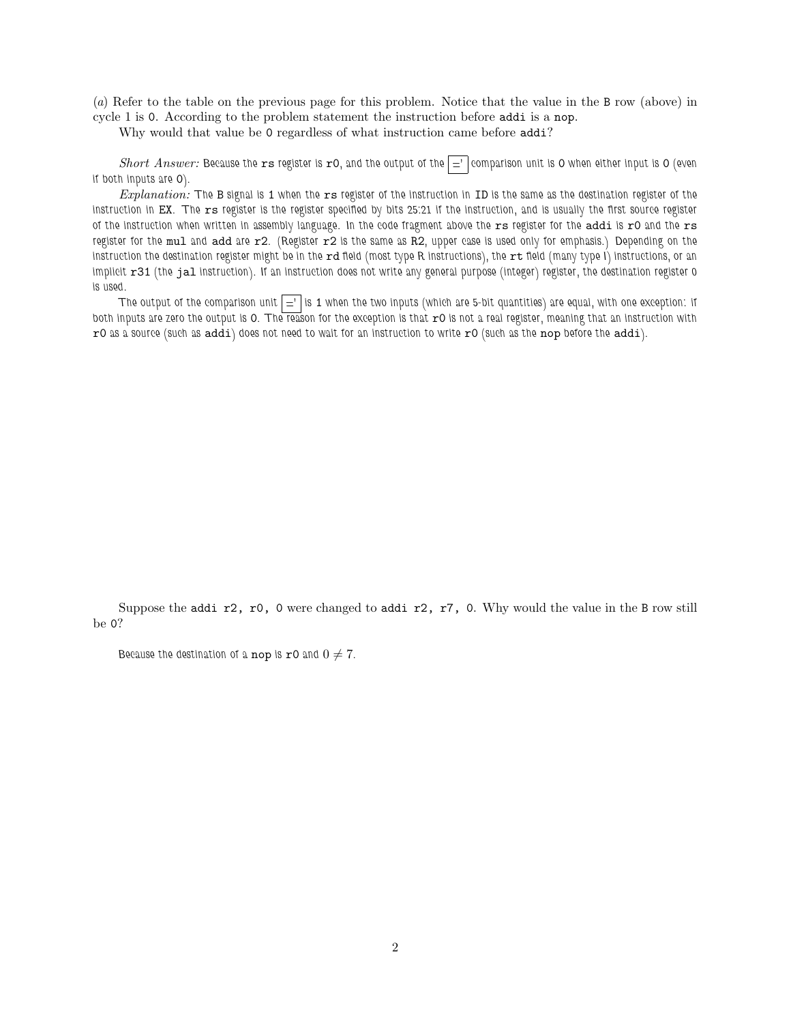(a) Refer to the table on the previous page for this problem. Notice that the value in the B row (above) in cycle 1 is 0. According to the problem statement the instruction before addi is a nop.

Why would that value be 0 regardless of what instruction came before addi?

Short Answer: Because the rs register is r0, and the output of the  $\vert$  ='  $\vert$  comparison unit is 0 when either input is 0 (even if both inputs are 0).

Explanation: The B signal is 1 when the rs register of the instruction in ID is the same as the destination register of the instruction in EX. The rs register is the register specified by bits 25:21 if the instruction, and is usually the first source register of the instruction when written in assembly language. In the code fragment above the rs register for the addi is r0 and the rs register for the mul and add are r2. (Register r2 is the same as R2, upper case is used only for emphasis.) Depending on the instruction the destination register might be in the rd field (most type R instructions), the rt field (many type I) instructions, or an implicit r31 (the jal instruction). If an instruction does not write any general purpose (integer) register, the destination register 0 is used.

The output of the comparison unit  $\vert z \vert$  is 1 when the two inputs (which are 5-bit quantities) are equal, with one exception: if both inputs are zero the output is 0. The reason for the exception is that  $r0$  is not a real register, meaning that an instruction with  $r0$  as a source (such as addi) does not need to wait for an instruction to write  $r0$  (such as the nop before the addi).

Suppose the addi r2, r0, 0 were changed to addi r2, r7, 0. Why would the value in the B row still be 0?

Because the destination of a nop is r0 and  $0 \neq 7$ .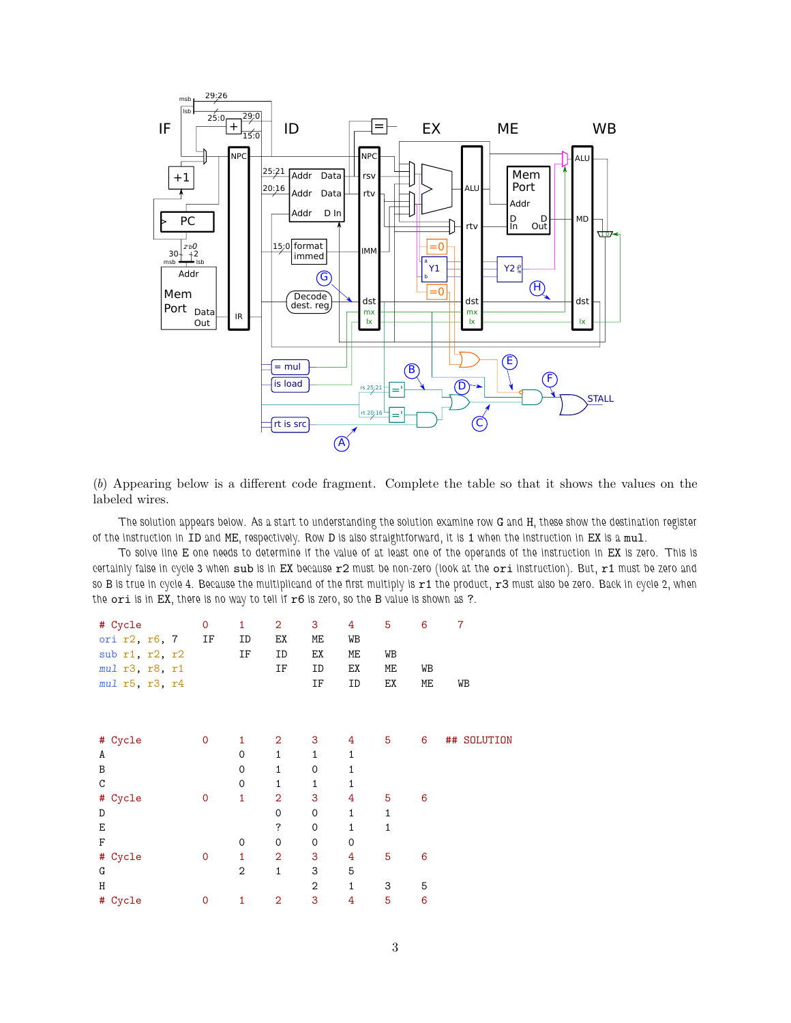

(b) Appearing below is a different code fragment. Complete the table so that it shows the values on the labeled wires.

The solution appears below. As a start to understanding the solution examine row G and H, these show the destination register of the instruction in ID and ME, respectively. Row D is also straightforward, it is 1 when the instruction in EX is a mul.

To solve line E one needs to determine if the value of at least one of the operands of the instruction in EX is zero. This is certainly false in cycle 3 when sub is in EX because r2 must be non-zero (look at the ori instruction). But, r1 must be zero and so B is true in cycle 4. Because the multiplicand of the first multiply is r1 the product, r3 must also be zero. Back in cycle 2, when the ori is in EX, there is no way to tell if  $r6$  is zero, so the B value is shown as ?.

| # Cycle<br>ori r2, r6, 7<br>sub r1, r2, r2<br>mul r3, r8, r1<br>mul r5, r3, r4 | $\mathsf{O}$<br>IF | 1<br>ID<br>ΙF  | 2<br>ЕX<br>ID<br>ΙF | 3<br>МE<br>ЕX<br>ID<br>IF | 4<br>WB<br>МE<br>ЕX<br>ID | 5<br>WB<br>МE<br>ЕX | 6<br>WB<br>МE | $\overline{7}$<br>WB |
|--------------------------------------------------------------------------------|--------------------|----------------|---------------------|---------------------------|---------------------------|---------------------|---------------|----------------------|
|                                                                                |                    |                |                     |                           |                           |                     |               |                      |
| # Cycle                                                                        | $\mathbf 0$        | 1              | $\overline{2}$      | 3                         | 4                         | 5                   | 6             | ## SOLUTION          |
| A                                                                              |                    | 0              | 1                   | 1                         | 1                         |                     |               |                      |
| B                                                                              |                    | 0              | $\mathbf{1}$        | $\mathbf 0$               | $\mathbf{1}$              |                     |               |                      |
| $\mathtt{C}$                                                                   |                    | 0              | 1                   | $\mathbf 1$               | 1                         |                     |               |                      |
| # Cycle                                                                        | $\mathbf 0$        | 1              | $\overline{2}$      | 3                         | 4                         | 5                   | 6             |                      |
| D                                                                              |                    |                | $\mathbf 0$         | $\mathbf 0$               | 1                         | 1                   |               |                      |
| E                                                                              |                    |                | ?                   | 0                         | $\mathbf{1}$              | 1                   |               |                      |
| F                                                                              |                    | 0              | $\mathbf 0$         | $\mathbf 0$               | 0                         |                     |               |                      |
| # Cycle                                                                        | $\mathbf 0$        | 1              | $\overline{2}$      | 3                         | 4                         | 5                   | 6             |                      |
| G                                                                              |                    | $\overline{2}$ | $\mathbf{1}$        | 3                         | 5                         |                     |               |                      |
| Η                                                                              |                    |                |                     | $\overline{2}$            | 1                         | 3                   | 5             |                      |
| # Cycle                                                                        | 0                  | 1              | $\overline{2}$      | 3                         | 4                         | 5                   | 6             |                      |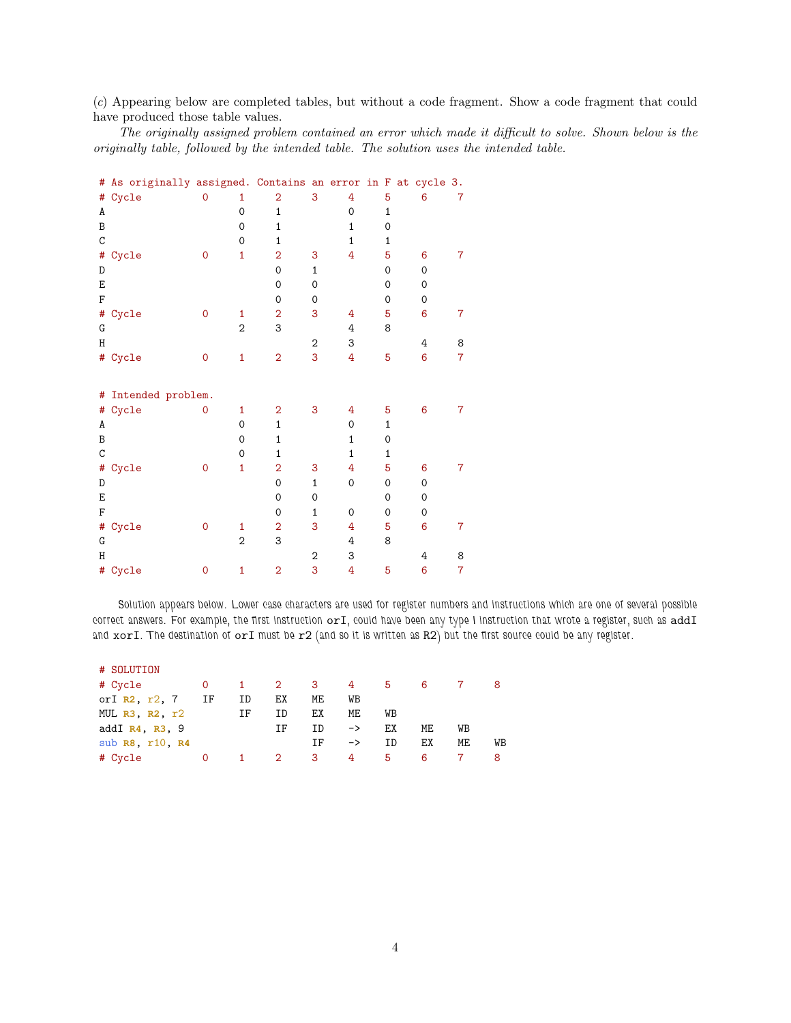(c) Appearing below are completed tables, but without a code fragment. Show a code fragment that could have produced those table values.

The originally assigned problem contained an error which made it difficult to solve. Shown below is the originally table, followed by the intended table. The solution uses the intended table.

|               | # As originally assigned. Contains an error in F at cycle 3. |             |                |                |                  |              |              |             |                |  |  |
|---------------|--------------------------------------------------------------|-------------|----------------|----------------|------------------|--------------|--------------|-------------|----------------|--|--|
|               | # Cycle                                                      | 0           | 1              | $\overline{2}$ | 3                | 4            | 5            | 6           | $\overline{7}$ |  |  |
| A             |                                                              |             | $\mathbf 0$    | $\mathbf 1$    |                  | 0            | 1            |             |                |  |  |
| $\, {\bf B}$  |                                                              |             | 0              | $\mathbf 1$    |                  | 1            | 0            |             |                |  |  |
| $\mathsf C$   |                                                              |             | 0              | 1              |                  | 1            | 1            |             |                |  |  |
| #             | Cycle                                                        | $\mathbf 0$ | $\mathbf{1}$   | $\overline{2}$ | 3                | 4            | 5            | 6           | $\overline{7}$ |  |  |
| D             |                                                              |             |                | 0              | $\mathbf{1}$     |              | 0            | $\mathbf 0$ |                |  |  |
| E             |                                                              |             |                | $\mathbf 0$    | 0                |              | 0            | 0           |                |  |  |
| $\rm F$       |                                                              |             |                | 0              | 0                |              | 0            | 0           |                |  |  |
|               | # Cycle                                                      | 0           | 1              | $\overline{2}$ | 3                | 4            | 5            | 6           | 7              |  |  |
| G             |                                                              |             | $\overline{2}$ | 3              |                  | 4            | 8            |             |                |  |  |
| H             |                                                              |             |                |                | $\boldsymbol{2}$ | 3            |              | 4           | 8              |  |  |
|               | # Cycle                                                      | 0           | $\mathbf{1}$   | $\overline{2}$ | 3                | 4            | 5            | 6           | $\overline{7}$ |  |  |
|               |                                                              |             |                |                |                  |              |              |             |                |  |  |
|               | # Intended problem.                                          |             |                |                |                  |              |              |             |                |  |  |
|               | # Cycle                                                      | 0           | 1              | $\overline{2}$ | 3                | 4            | 5            | 6           | 7              |  |  |
| A             |                                                              |             | 0              | $\mathbf 1$    |                  | 0            | $\mathbf{1}$ |             |                |  |  |
| B             |                                                              |             | $\mathbf 0$    | $\mathbf 1$    |                  | 1            | 0            |             |                |  |  |
| $\mathcal{C}$ |                                                              |             | $\mathbf 0$    | 1              |                  | $\mathbf{1}$ | 1            |             |                |  |  |
| #             | Cycle                                                        | 0           | $\mathbf{1}$   | $\overline{2}$ | 3                | 4            | 5            | 6           | $\overline{7}$ |  |  |
| D             |                                                              |             |                | 0              | $\mathbf{1}$     | 0            | 0            | $\mathbf 0$ |                |  |  |
| E             |                                                              |             |                | 0              | 0                |              | 0            | 0           |                |  |  |
| $\rm F$       |                                                              |             |                | $\mathbf 0$    | $\mathbf{1}$     | 0            | $\mathbf 0$  | 0           |                |  |  |
| #             | Cycle                                                        | 0           | 1              | $\overline{2}$ | 3                | 4            | 5            | 6           | 7              |  |  |
| G             |                                                              |             | $\overline{2}$ | 3              |                  | 4            | 8            |             |                |  |  |
| H             |                                                              |             |                |                | $\overline{2}$   | 3            |              | 4           | 8              |  |  |
|               | # Cycle                                                      | 0           | $\mathbf{1}$   | $\overline{2}$ | 3                | 4            | 5            | 6           | $\overline{7}$ |  |  |
|               |                                                              |             |                |                |                  |              |              |             |                |  |  |

Solution appears below. Lower case characters are used for register numbers and instructions which are one of several possible correct answers. For example, the first instruction  $\texttt{or1}$ , could have been any type I instruction that wrote a register, such as addI and xorI. The destination of orI must be r2 (and so it is written as R2) but the first source could be any register.

| # SOLUTION             |              |              |                |     |                 |    |    |    |    |
|------------------------|--------------|--------------|----------------|-----|-----------------|----|----|----|----|
| # Cycle                | $\mathsf{O}$ | $\mathbf{1}$ | $\overline{2}$ | - 3 | $4\overline{ }$ | 5  | 6  |    |    |
| or $I$ R2, $r2$ , $7$  | ΙF           | ID           | ЕX             | МE  | WB              |    |    |    |    |
| MUL $R3$ , $R2$ , $r2$ |              | ΙF           | ΙD             | ЕX  | МE              | WB |    |    |    |
| addI $R4$ , $R3$ , 9   |              |              | ΙF             | TD  | $\rightarrow$   | EX | ME | WВ |    |
| sub R8, r10, R4        |              |              |                | ΤF  | $\rightarrow$   | ΙD | ЕX | МE | WB |
| # Cycle                | 0            | $\mathbf{1}$ | 2              | 3   | 4               | 5. | 6  |    |    |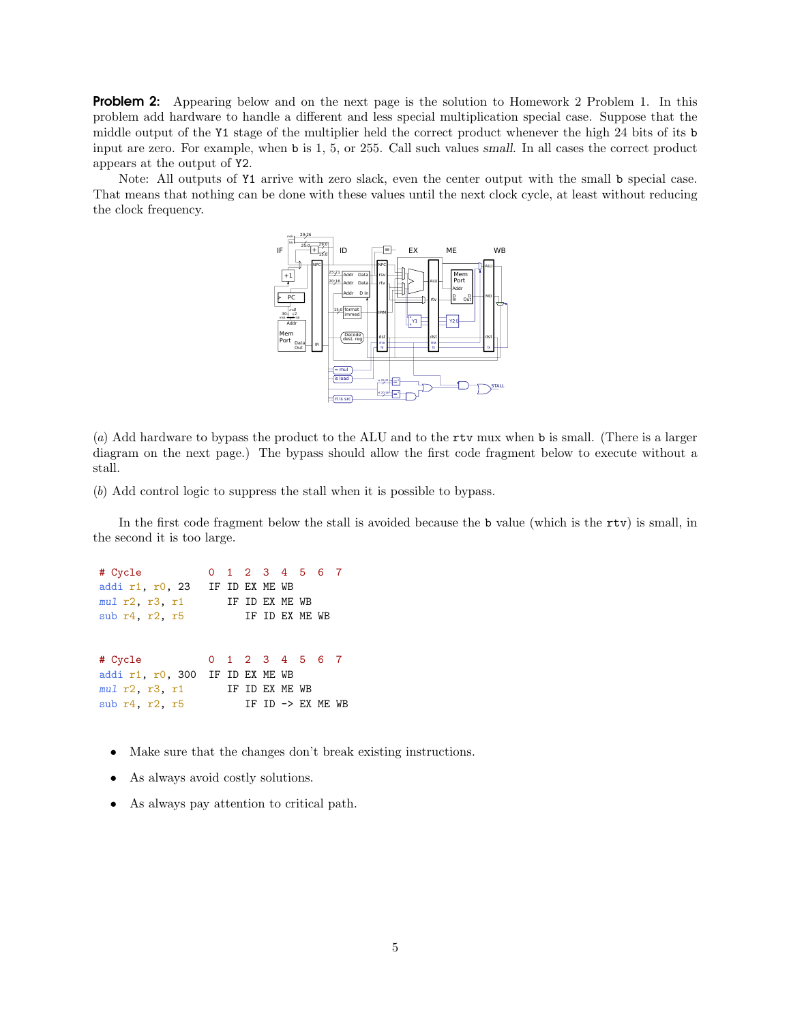**Problem 2:** Appearing below and on the next page is the solution to Homework 2 Problem 1. In this problem add hardware to handle a different and less special multiplication special case. Suppose that the middle output of the Y1 stage of the multiplier held the correct product whenever the high 24 bits of its b input are zero. For example, when b is 1, 5, or 255. Call such values small. In all cases the correct product appears at the output of Y2.

Note: All outputs of Y1 arrive with zero slack, even the center output with the small b special case. That means that nothing can be done with these values until the next clock cycle, at least without reducing the clock frequency.



(a) Add hardware to bypass the product to the ALU and to the rtv mux when b is small. (There is a larger diagram on the next page.) The bypass should allow the first code fragment below to execute without a stall.

(b) Add control logic to suppress the stall when it is possible to bypass.

In the first code fragment below the stall is avoided because the b value (which is the rtv) is small, in the second it is too large.

# Cycle 0 1 2 3 4 5 6 7 addi r1, r0, 23 IF ID EX ME WB mul r2, r3, r1 IF ID EX ME WB sub r4, r2, r5 IF ID EX ME WB # Cycle 0 1 2 3 4 5 6 7 addi r1, r0, 300 IF ID EX ME WB mul r2, r3, r1 IF ID EX ME WB sub r4, r2, r5 IF ID -> EX ME WB

- Make sure that the changes don't break existing instructions.
- As always avoid costly solutions.
- As always pay attention to critical path.